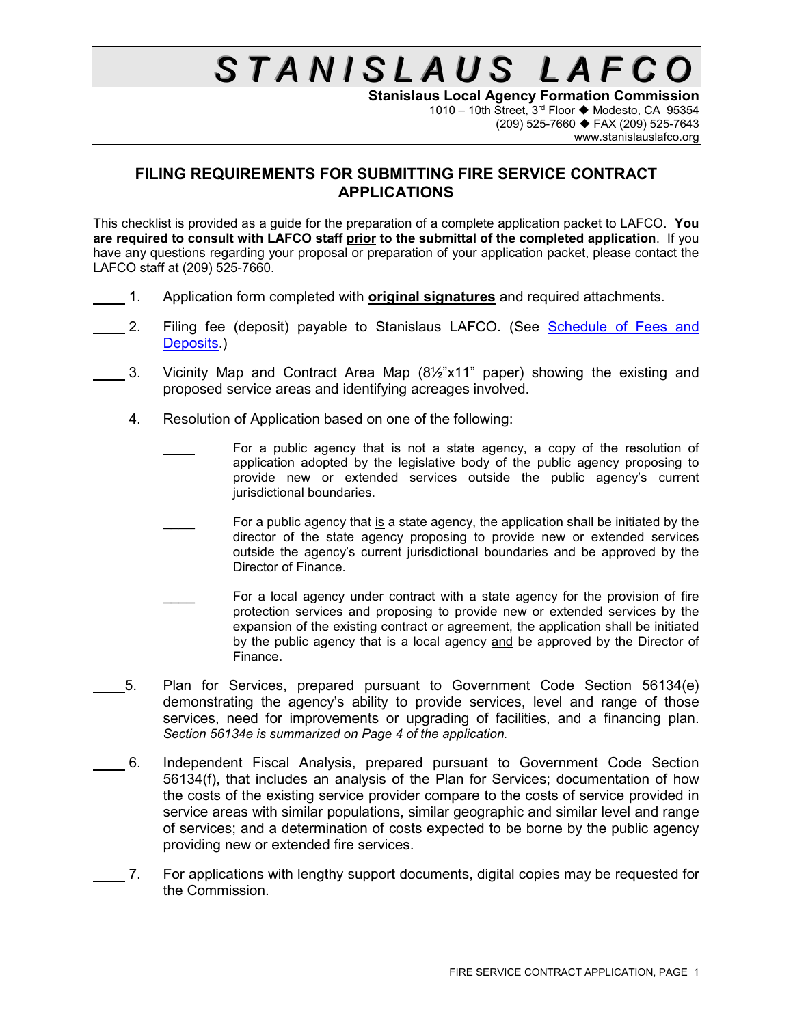# $S$  *TANISLAUS LAFCC*

**Stanislaus Local Agency Formation Commission** 1010 – 10th Street, 3<sup>rd</sup> Floor ◆ Modesto, CA 95354 (209) 525-7660 FAX (209) 525-7643 www.stanislauslafco.org

#### **FILING REQUIREMENTS FOR SUBMITTING FIRE SERVICE CONTRACT APPLICATIONS**

This checklist is provided as a guide for the preparation of a complete application packet to LAFCO. **You are required to consult with LAFCO staff prior to the submittal of the completed application**. If you have any questions regarding your proposal or preparation of your application packet, please contact the LAFCO staff at (209) 525-7660.

- 1. Application form completed with **original signatures** and required attachments.
- 2. Filing fee (deposit) payable to Stanislaus LAFCO. (See Schedule of Fees and [Deposits.](http://www.stanislauslafco.org/PDF/forms/FeeSchedule.pdf))
- 3. Vicinity Map and Contract Area Map  $(8\frac{1}{2}x^2x1^2)$  paper) showing the existing and proposed service areas and identifying acreages involved.
- 4. Resolution of Application based on one of the following:
	- For a public agency that is not a state agency, a copy of the resolution of application adopted by the legislative body of the public agency proposing to provide new or extended services outside the public agency's current jurisdictional boundaries.
	- For a public agency that is a state agency, the application shall be initiated by the director of the state agency proposing to provide new or extended services outside the agency's current jurisdictional boundaries and be approved by the Director of Finance.
	- For a local agency under contract with a state agency for the provision of fire protection services and proposing to provide new or extended services by the expansion of the existing contract or agreement, the application shall be initiated by the public agency that is a local agency and be approved by the Director of Finance.
- 5. Plan for Services, prepared pursuant to Government Code Section 56134(e) demonstrating the agency's ability to provide services, level and range of those services, need for improvements or upgrading of facilities, and a financing plan. *Section 56134e is summarized on Page 4 of the application.*
	- 6. Independent Fiscal Analysis, prepared pursuant to Government Code Section 56134(f), that includes an analysis of the Plan for Services; documentation of how the costs of the existing service provider compare to the costs of service provided in service areas with similar populations, similar geographic and similar level and range of services; and a determination of costs expected to be borne by the public agency providing new or extended fire services.
- 7. For applications with lengthy support documents, digital copies may be requested for the Commission.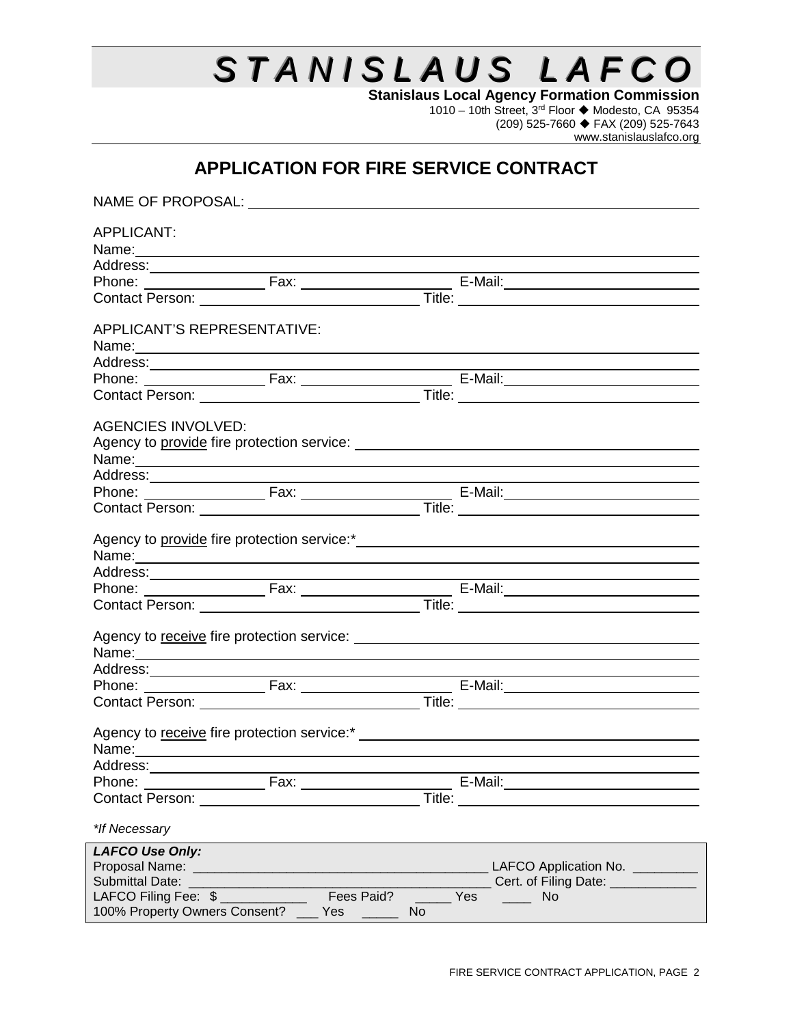# STANISLAUS LAFCO

**Stanislaus Local Agency Formation Commission** 1010 – 10th Street, 3<sup>rd</sup> Floor ♦ Modesto, CA 95354 (209) 525-7660 FAX (209) 525-7643 www.stanislauslafco.org

### **APPLICATION FOR FIRE SERVICE CONTRACT**

| NAME OF PROPOSAL: NAME OF PROPOSAL:                                                                                                                                                                                                                |                          |                                                                                                                                                                                                                                                                                                                                                   |
|----------------------------------------------------------------------------------------------------------------------------------------------------------------------------------------------------------------------------------------------------|--------------------------|---------------------------------------------------------------------------------------------------------------------------------------------------------------------------------------------------------------------------------------------------------------------------------------------------------------------------------------------------|
| <b>APPLICANT:</b><br>Name: Name: Name: Name: Name: Name: Name: Name: Name: Name: Name: Name: Name: Name: Name: Name: Name: Name: Name: Name: Name: Name: Name: Name: Name: Name: Name: Name: Name: Name: Name: Name: Name: Name: Name: Name: Name: |                          |                                                                                                                                                                                                                                                                                                                                                   |
|                                                                                                                                                                                                                                                    |                          |                                                                                                                                                                                                                                                                                                                                                   |
|                                                                                                                                                                                                                                                    |                          | Phone: Fax: Fax: Fax: E-Mail:                                                                                                                                                                                                                                                                                                                     |
|                                                                                                                                                                                                                                                    |                          | Contact Person: <u>and the contract of the contract of the contract person:</u>                                                                                                                                                                                                                                                                   |
| APPLICANT'S REPRESENTATIVE:                                                                                                                                                                                                                        |                          |                                                                                                                                                                                                                                                                                                                                                   |
|                                                                                                                                                                                                                                                    |                          |                                                                                                                                                                                                                                                                                                                                                   |
|                                                                                                                                                                                                                                                    |                          |                                                                                                                                                                                                                                                                                                                                                   |
|                                                                                                                                                                                                                                                    |                          | Address:<br>Phone: Fax: Fax: Fax: Fax: File: E-Mail: E-Mail: E-Mail: Contact Person: Title: Contact Person: Fax: Title: Contact Person: Title: Contact Person: Title: Contact Person: Title: Contact Person: Title: Contact Pers                                                                                                                  |
| <b>AGENCIES INVOLVED:</b>                                                                                                                                                                                                                          |                          | Agency to provide fire protection service: Network and the service of the service of the service of the service<br>Name: Name: Name and All Contract Contract Contract Contract Contract Contract Contract Contract Contract Contract Contract Contract Contract Contract Contract Contract Contract Contract Contract Contract Contract Contract |
|                                                                                                                                                                                                                                                    |                          |                                                                                                                                                                                                                                                                                                                                                   |
|                                                                                                                                                                                                                                                    |                          |                                                                                                                                                                                                                                                                                                                                                   |
|                                                                                                                                                                                                                                                    |                          |                                                                                                                                                                                                                                                                                                                                                   |
|                                                                                                                                                                                                                                                    |                          |                                                                                                                                                                                                                                                                                                                                                   |
|                                                                                                                                                                                                                                                    |                          |                                                                                                                                                                                                                                                                                                                                                   |
|                                                                                                                                                                                                                                                    |                          | Address:<br>Phone: Fax: Fax: Frace F-Mail: F-Mail:<br>Contact Person: Title: Title:                                                                                                                                                                                                                                                               |
|                                                                                                                                                                                                                                                    |                          |                                                                                                                                                                                                                                                                                                                                                   |
|                                                                                                                                                                                                                                                    |                          |                                                                                                                                                                                                                                                                                                                                                   |
|                                                                                                                                                                                                                                                    |                          |                                                                                                                                                                                                                                                                                                                                                   |
|                                                                                                                                                                                                                                                    |                          | Contact Person: <u>and the contract of the contract of the contract of the contract of the contract of the contract of the contract of the contract of the contract of the contract of the contract of the contract of the contr</u>                                                                                                              |
| Name: Name: Name: Name: Name: Name: Name: Name: Name: Name: Name: Name: Name: Name: Name: Name: Name: Name: Name: Name: Name: Name: Name: Name: Name: Name: Name: Name: Name: Name: Name: Name: Name: Name: Name: Name: Name:                      |                          |                                                                                                                                                                                                                                                                                                                                                   |
| Address:                                                                                                                                                                                                                                           |                          |                                                                                                                                                                                                                                                                                                                                                   |
| Phone:<br>Contact Person: National Contact Person:                                                                                                                                                                                                 | <b>Example 2018</b> Fax: |                                                                                                                                                                                                                                                                                                                                                   |
|                                                                                                                                                                                                                                                    |                          |                                                                                                                                                                                                                                                                                                                                                   |
| *If Necessary                                                                                                                                                                                                                                      |                          |                                                                                                                                                                                                                                                                                                                                                   |
| <b>LAFCO Use Only:</b>                                                                                                                                                                                                                             |                          |                                                                                                                                                                                                                                                                                                                                                   |
|                                                                                                                                                                                                                                                    |                          | LAFCO Application No. _________                                                                                                                                                                                                                                                                                                                   |
| <b>Submittal Date:</b>                                                                                                                                                                                                                             |                          | Cert. of Filing Date: ____________                                                                                                                                                                                                                                                                                                                |
| LAFCO Filing Fee: \$                                                                                                                                                                                                                               | Fees Paid?               | Yes<br><b>No</b>                                                                                                                                                                                                                                                                                                                                  |
| 100% Property Owners Consent?                                                                                                                                                                                                                      | Yes<br>No                |                                                                                                                                                                                                                                                                                                                                                   |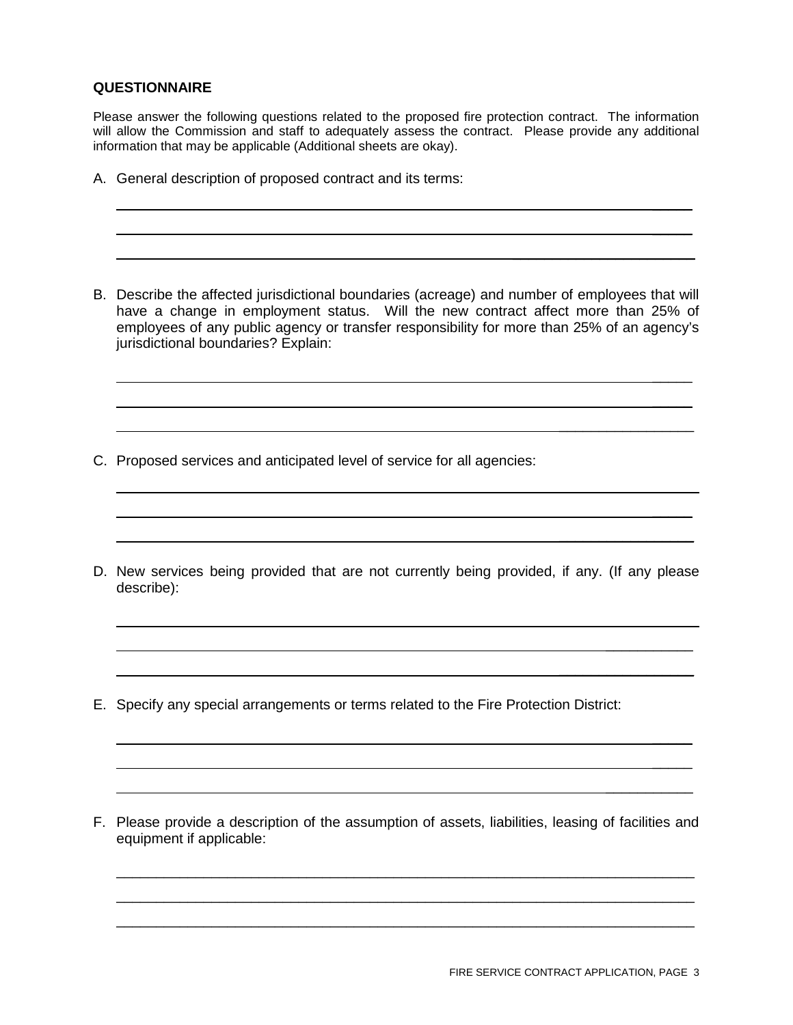#### **QUESTIONNAIRE**

Please answer the following questions related to the proposed fire protection contract. The information will allow the Commission and staff to adequately assess the contract. Please provide any additional information that may be applicable (Additional sheets are okay).

- A. General description of proposed contract and its terms:
- B. Describe the affected jurisdictional boundaries (acreage) and number of employees that will have a change in employment status. Will the new contract affect more than 25% of employees of any public agency or transfer responsibility for more than 25% of an agency's jurisdictional boundaries? Explain:
- C. Proposed services and anticipated level of service for all agencies:
- D. New services being provided that are not currently being provided, if any. (If any please describe):
- E. Specify any special arrangements or terms related to the Fire Protection District:
- F. Please provide a description of the assumption of assets, liabilities, leasing of facilities and equipment if applicable:

\_\_\_\_\_\_\_\_\_\_\_\_\_\_\_\_\_\_\_\_\_\_\_\_\_\_\_\_\_\_\_\_\_\_\_\_\_\_\_\_\_\_\_\_\_\_\_\_\_\_\_\_\_\_\_\_\_\_\_\_\_\_\_\_\_\_\_\_\_\_\_\_\_ \_\_\_\_\_\_\_\_\_\_\_\_\_\_\_\_\_\_\_\_\_\_\_\_\_\_\_\_\_\_\_\_\_\_\_\_\_\_\_\_\_\_\_\_\_\_\_\_\_\_\_\_\_\_\_\_\_\_\_\_\_\_\_\_\_\_\_\_\_\_\_\_\_ \_\_\_\_\_\_\_\_\_\_\_\_\_\_\_\_\_\_\_\_\_\_\_\_\_\_\_\_\_\_\_\_\_\_\_\_\_\_\_\_\_\_\_\_\_\_\_\_\_\_\_\_\_\_\_\_\_\_\_\_\_\_\_\_\_\_\_\_\_\_\_\_\_

 $\frac{1}{2}$  $\frac{1}{2}$ 

 $\frac{1}{2}$  $\frac{1}{2}$ 

 $\overline{\phantom{a}}$ 

 $\frac{1}{2}$  ,  $\frac{1}{2}$  ,  $\frac{1}{2}$  ,  $\frac{1}{2}$  ,  $\frac{1}{2}$  ,  $\frac{1}{2}$  ,  $\frac{1}{2}$  ,  $\frac{1}{2}$  ,  $\frac{1}{2}$  ,  $\frac{1}{2}$ 

 $\frac{1}{2}$  ,  $\frac{1}{2}$  ,  $\frac{1}{2}$  ,  $\frac{1}{2}$  ,  $\frac{1}{2}$  ,  $\frac{1}{2}$  ,  $\frac{1}{2}$  ,  $\frac{1}{2}$  ,  $\frac{1}{2}$  ,  $\frac{1}{2}$ 

 $\frac{1}{2}$  ,  $\frac{1}{2}$  ,  $\frac{1}{2}$  ,  $\frac{1}{2}$  ,  $\frac{1}{2}$  ,  $\frac{1}{2}$  ,  $\frac{1}{2}$  ,  $\frac{1}{2}$  ,  $\frac{1}{2}$  ,  $\frac{1}{2}$ 

 $\overline{\phantom{a}}$  , where  $\overline{\phantom{a}}$ 

 $\overline{\phantom{a}}$ 

 $\frac{1}{2}$  $\frac{1}{2}$ 

 $\mathcal{L}=\{1,2,3,4,5\}$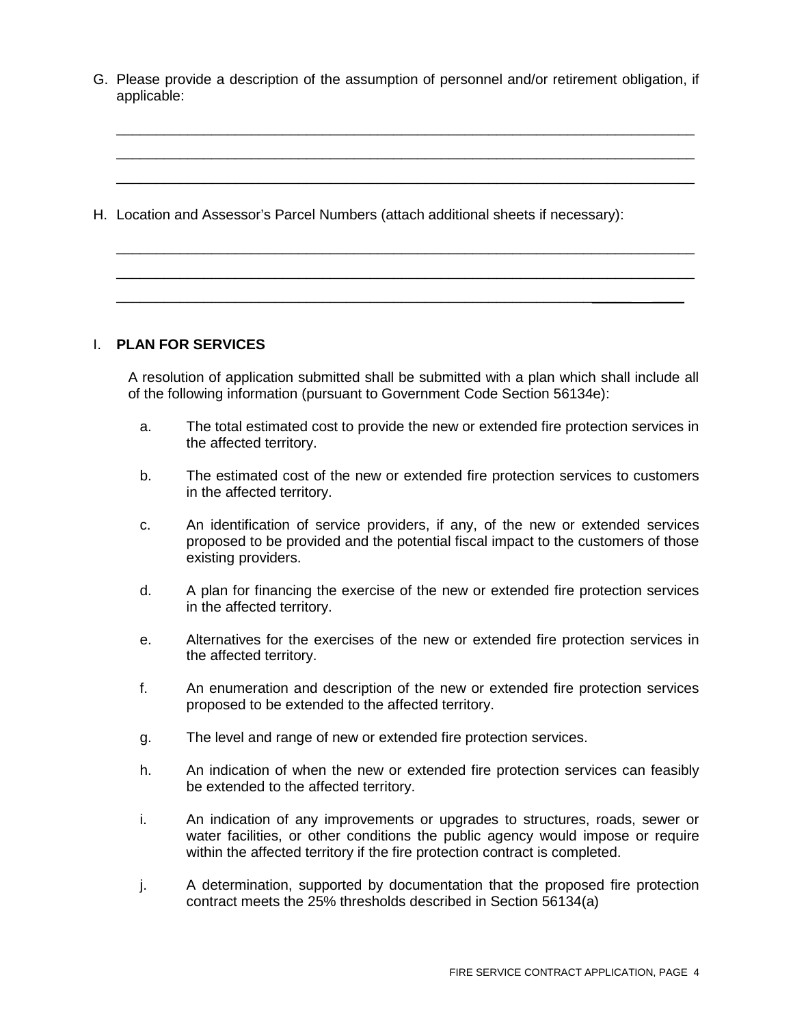G. Please provide a description of the assumption of personnel and/or retirement obligation, if applicable:

\_\_\_\_\_\_\_\_\_\_\_\_\_\_\_\_\_\_\_\_\_\_\_\_\_\_\_\_\_\_\_\_\_\_\_\_\_\_\_\_\_\_\_\_\_\_\_\_\_\_\_\_\_\_\_\_\_\_\_\_\_\_\_\_\_\_\_\_\_\_\_\_\_ \_\_\_\_\_\_\_\_\_\_\_\_\_\_\_\_\_\_\_\_\_\_\_\_\_\_\_\_\_\_\_\_\_\_\_\_\_\_\_\_\_\_\_\_\_\_\_\_\_\_\_\_\_\_\_\_\_\_\_\_\_\_\_\_\_\_\_\_\_\_\_\_\_ \_\_\_\_\_\_\_\_\_\_\_\_\_\_\_\_\_\_\_\_\_\_\_\_\_\_\_\_\_\_\_\_\_\_\_\_\_\_\_\_\_\_\_\_\_\_\_\_\_\_\_\_\_\_\_\_\_\_\_\_\_\_\_\_\_\_\_\_\_\_\_\_\_

\_\_\_\_\_\_\_\_\_\_\_\_\_\_\_\_\_\_\_\_\_\_\_\_\_\_\_\_\_\_\_\_\_\_\_\_\_\_\_\_\_\_\_\_\_\_\_\_\_\_\_\_\_\_\_\_\_\_\_\_\_\_\_\_\_\_\_\_\_\_\_\_\_ \_\_\_\_\_\_\_\_\_\_\_\_\_\_\_\_\_\_\_\_\_\_\_\_\_\_\_\_\_\_\_\_\_\_\_\_\_\_\_\_\_\_\_\_\_\_\_\_\_\_\_\_\_\_\_\_\_\_\_\_\_\_\_\_\_\_\_\_\_\_\_\_\_ \_\_\_\_\_\_\_\_\_\_\_\_\_\_\_\_\_\_\_\_\_\_\_\_\_\_\_\_\_\_\_\_\_\_\_\_\_\_\_\_\_\_\_\_\_\_\_\_\_\_\_\_\_\_\_\_\_\_\_\_\_\_\_\_\_ \_\_\_\_

H. Location and Assessor's Parcel Numbers (attach additional sheets if necessary):

#### I. **PLAN FOR SERVICES**

A resolution of application submitted shall be submitted with a plan which shall include all of the following information (pursuant to Government Code Section 56134e):

- a. The total estimated cost to provide the new or extended fire protection services in the affected territory.
- b. The estimated cost of the new or extended fire protection services to customers in the affected territory.
- c. An identification of service providers, if any, of the new or extended services proposed to be provided and the potential fiscal impact to the customers of those existing providers.
- d. A plan for financing the exercise of the new or extended fire protection services in the affected territory.
- e. Alternatives for the exercises of the new or extended fire protection services in the affected territory.
- f. An enumeration and description of the new or extended fire protection services proposed to be extended to the affected territory.
- g. The level and range of new or extended fire protection services.
- h. An indication of when the new or extended fire protection services can feasibly be extended to the affected territory.
- i. An indication of any improvements or upgrades to structures, roads, sewer or water facilities, or other conditions the public agency would impose or require within the affected territory if the fire protection contract is completed.
- j. A determination, supported by documentation that the proposed fire protection contract meets the 25% thresholds described in Section 56134(a)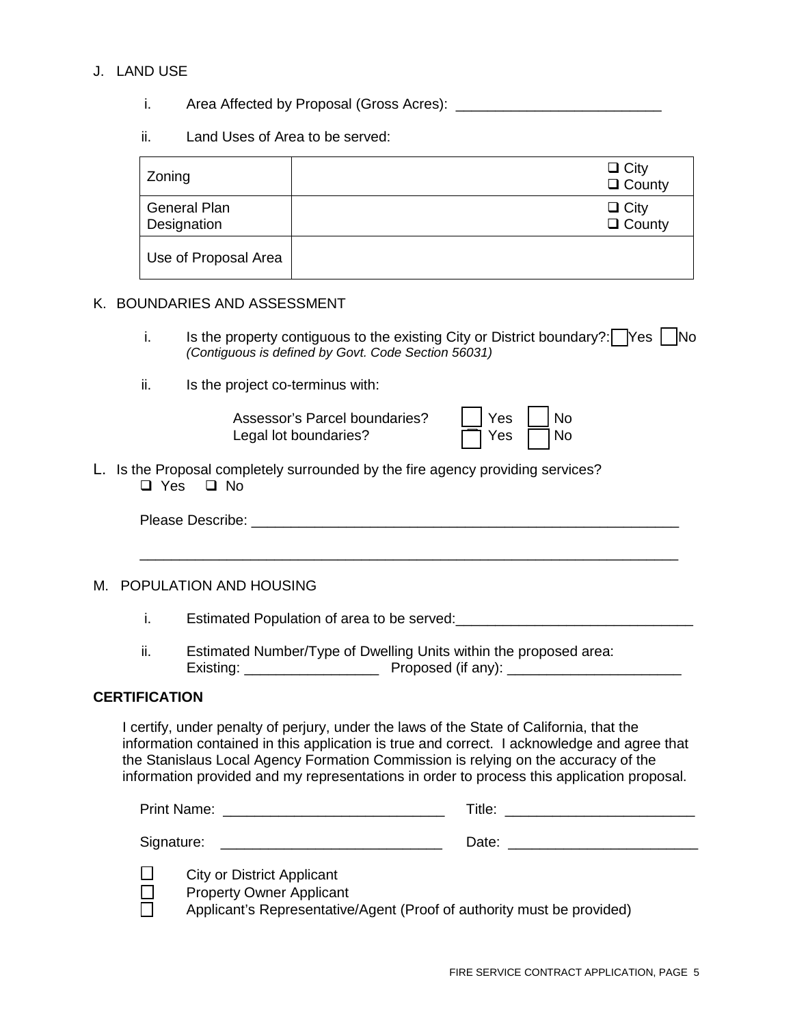#### J. LAND USE

- i. Area Affected by Proposal (Gross Acres): \_\_\_\_\_\_\_\_\_\_\_\_\_\_\_\_\_\_\_\_\_\_\_\_\_\_
- ii. Land Uses of Area to be served:

| Zoning                             | $\Box$ City<br>$\Box$ County |
|------------------------------------|------------------------------|
| <b>General Plan</b><br>Designation | $\Box$ City<br>$\Box$ County |
| Use of Proposal Area               |                              |

#### K. BOUNDARIES AND ASSESSMENT

- i. Is the property contiguous to the existing City or District boundary?:  $\Box$  Yes  $\Box$  No *(Contiguous is defined by Govt. Code Section 56031)*
- ii. Is the project co-terminus with:

| Assessor's Parcel boundaries? | Yes   No             |  |
|-------------------------------|----------------------|--|
| Legal lot boundaries?         | $\Box$ Yes $\Box$ No |  |

L. Is the Proposal completely surrounded by the fire agency providing services? □ Yes □ No

| Please Describe: |  |
|------------------|--|
|------------------|--|

\_\_\_\_\_\_\_\_\_\_\_\_\_\_\_\_\_\_\_\_\_\_\_\_\_\_\_\_\_\_\_\_\_\_\_\_\_\_\_\_\_\_\_\_\_\_\_\_\_\_\_\_\_\_\_\_\_\_\_\_\_\_\_\_\_\_\_\_

#### M. POPULATION AND HOUSING

i. Estimated Population of area to be served: Estimated Population of area to be served:

ii. Estimated Number/Type of Dwelling Units within the proposed area: Existing: \_\_\_\_\_\_\_\_\_\_\_\_\_\_\_\_\_ Proposed (if any): \_\_\_\_\_\_\_\_\_\_\_\_\_\_\_\_\_\_\_\_\_\_

#### **CERTIFICATION**

I certify, under penalty of perjury, under the laws of the State of California, that the information contained in this application is true and correct. I acknowledge and agree that the Stanislaus Local Agency Formation Commission is relying on the accuracy of the information provided and my representations in order to process this application proposal.

Print Name: \_\_\_\_\_\_\_\_\_\_\_\_\_\_\_\_\_\_\_\_\_\_\_\_\_\_\_\_ Title: \_\_\_\_\_\_\_\_\_\_\_\_\_\_\_\_\_\_\_\_\_\_\_\_ Signature: etc. and the state of the state of the Date:  $\Box$  Date:  $\Box$ 

 $\square$  City or District Applicant

**Property Owner Applicant** 

Applicant's Representative/Agent (Proof of authority must be provided)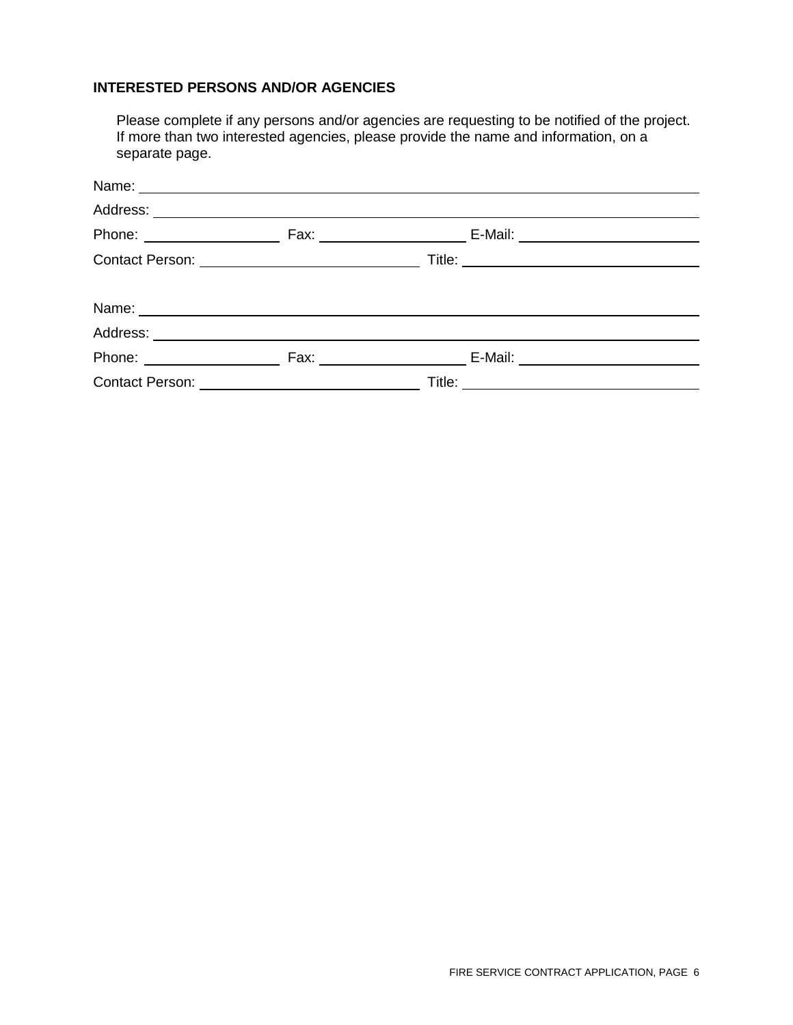#### **INTERESTED PERSONS AND/OR AGENCIES**

Please complete if any persons and/or agencies are requesting to be notified of the project. If more than two interested agencies, please provide the name and information, on a separate page.

|  | E-Mail: ____________________________ |  |
|--|--------------------------------------|--|
|  |                                      |  |
|  |                                      |  |
|  |                                      |  |
|  | Phone: Fax: Fax: E-Mail:             |  |
|  |                                      |  |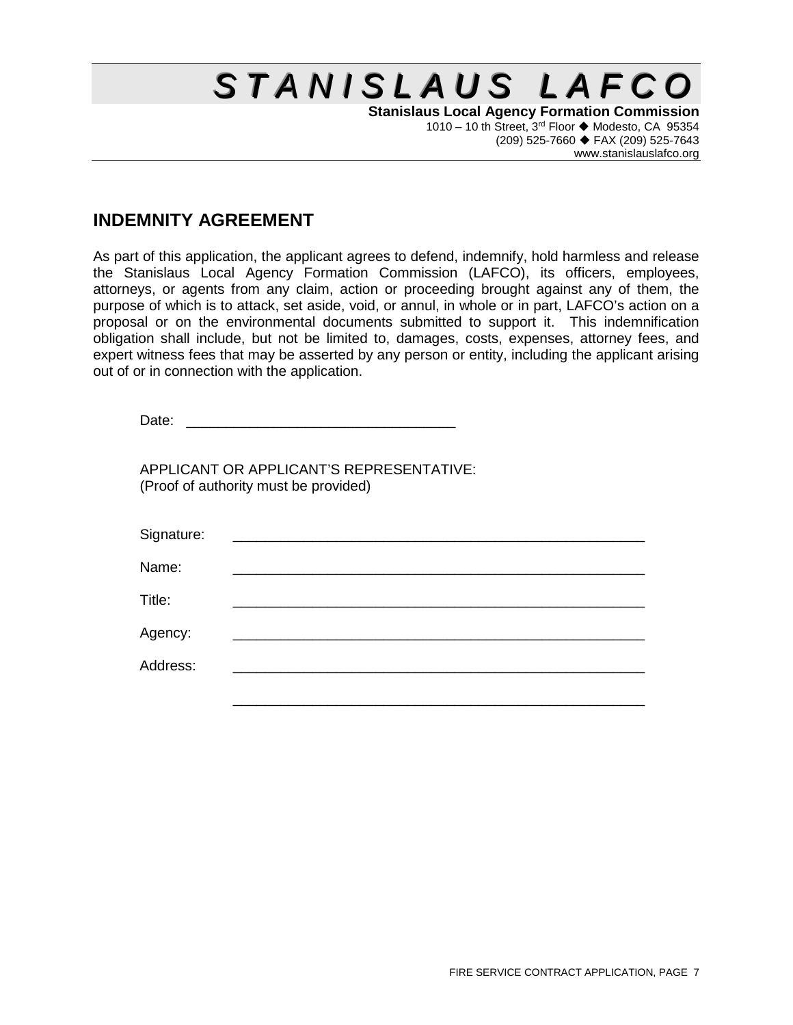## $S$  *TANISLAUS LAFCO*

**Stanislaus Local Agency Formation Commission** 1010 – 10 th Street,  $3^{rd}$  Floor  $\blacklozenge$  Modesto, CA 95354 (209) 525-7660 FAX (209) 525-7643 www.stanislauslafco.org

## **INDEMNITY AGREEMENT**

As part of this application, the applicant agrees to defend, indemnify, hold harmless and release the Stanislaus Local Agency Formation Commission (LAFCO), its officers, employees, attorneys, or agents from any claim, action or proceeding brought against any of them, the purpose of which is to attack, set aside, void, or annul, in whole or in part, LAFCO's action on a proposal or on the environmental documents submitted to support it. This indemnification obligation shall include, but not be limited to, damages, costs, expenses, attorney fees, and expert witness fees that may be asserted by any person or entity, including the applicant arising out of or in connection with the application.

| Date:      |                                                                                   |  |
|------------|-----------------------------------------------------------------------------------|--|
|            | APPLICANT OR APPLICANT'S REPRESENTATIVE:<br>(Proof of authority must be provided) |  |
| Signature: |                                                                                   |  |
| Name:      |                                                                                   |  |
| Title:     |                                                                                   |  |
| Agency:    |                                                                                   |  |
| Address:   |                                                                                   |  |
|            |                                                                                   |  |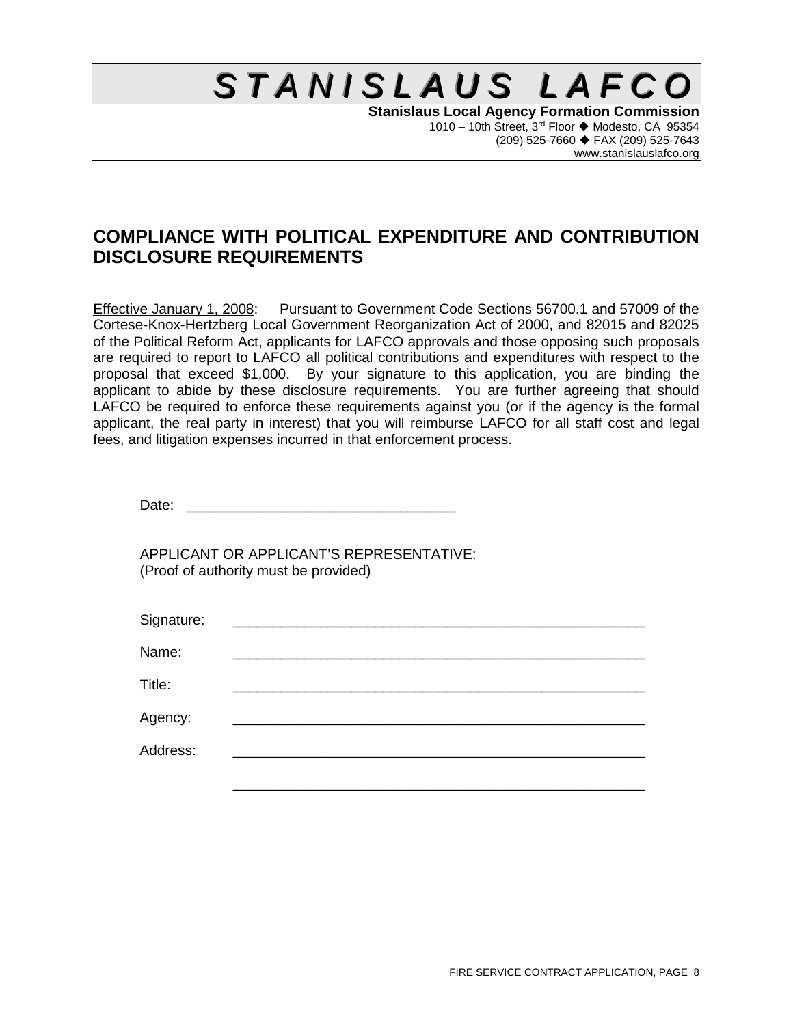# $S$  *TANISLAUS LAFCO*

**Stanislaus Local Agency Formation Commission** 1010 – 10th Street,  $3^{rd}$  Floor  $\blacklozenge$  Modesto, CA 95354 (209) 525-7660 FAX (209) 525-7643 www.stanislauslafco.org

## **COMPLIANCE WITH POLITICAL EXPENDITURE AND CONTRIBUTION DISCLOSURE REQUIREMENTS**

Effective January 1, 2008: Pursuant to Government Code Sections 56700.1 and 57009 of the Cortese-Knox-Hertzberg Local Government Reorganization Act of 2000, and 82015 and 82025 of the Political Reform Act, applicants for LAFCO approvals and those opposing such proposals are required to report to LAFCO all political contributions and expenditures with respect to the proposal that exceed \$1,000. By your signature to this application, you are binding the applicant to abide by these disclosure requirements. You are further agreeing that should LAFCO be required to enforce these requirements against you (or if the agency is the formal applicant, the real party in interest) that you will reimburse LAFCO for all staff cost and legal fees, and litigation expenses incurred in that enforcement process.

Date: \_\_\_\_\_\_\_\_\_\_\_\_\_\_\_\_\_\_\_\_\_\_\_\_\_\_\_\_\_\_\_\_\_\_

APPLICANT OR APPLICANT'S REPRESENTATIVE: (Proof of authority must be provided)

| Signature: |                                                                            |  |  |
|------------|----------------------------------------------------------------------------|--|--|
| Name:      |                                                                            |  |  |
| Title:     | the control of the control of the control of the control of the control of |  |  |
| Agency:    |                                                                            |  |  |
| Address:   |                                                                            |  |  |
|            |                                                                            |  |  |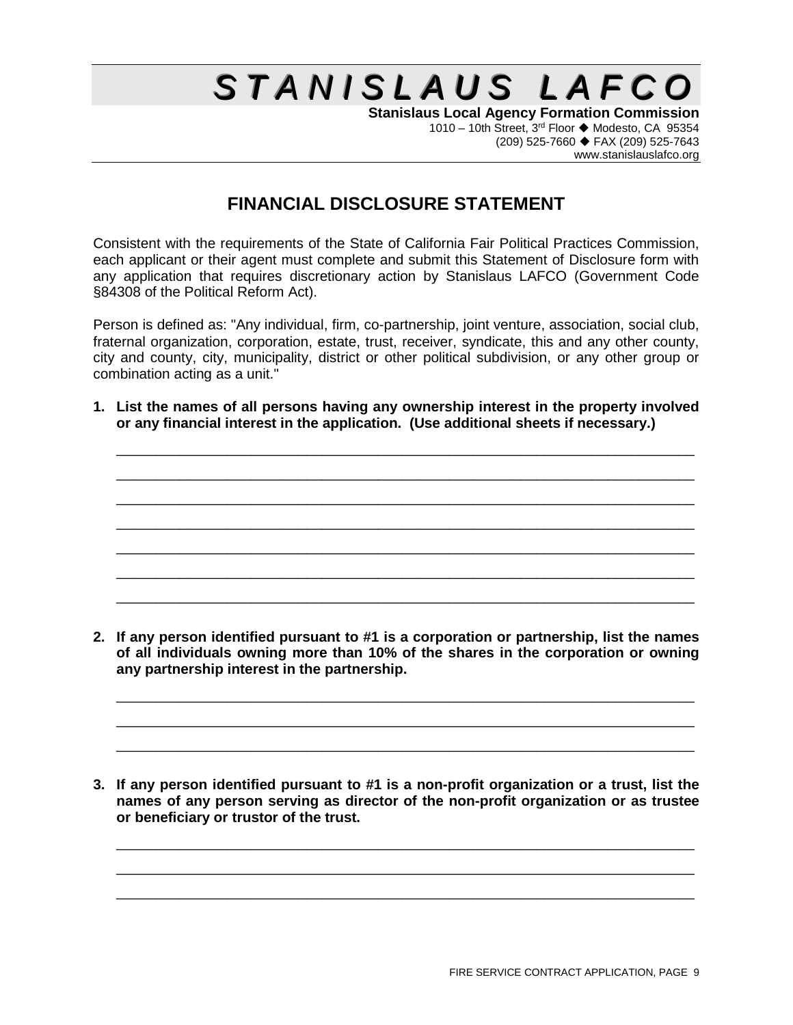## $S$  *TANISLAUS LAFCO*

**Stanislaus Local Agency Formation Commission** 1010 – 10th Street, 3<sup>rd</sup> Floor ♦ Modesto, CA 95354 (209) 525-7660 FAX (209) 525-7643 www.stanislauslafco.org

## **FINANCIAL DISCLOSURE STATEMENT**

Consistent with the requirements of the State of California Fair Political Practices Commission, each applicant or their agent must complete and submit this Statement of Disclosure form with any application that requires discretionary action by Stanislaus LAFCO (Government Code §84308 of the Political Reform Act).

Person is defined as: "Any individual, firm, co-partnership, joint venture, association, social club, fraternal organization, corporation, estate, trust, receiver, syndicate, this and any other county, city and county, city, municipality, district or other political subdivision, or any other group or combination acting as a unit."

**1. List the names of all persons having any ownership interest in the property involved or any financial interest in the application. (Use additional sheets if necessary.)**

\_\_\_\_\_\_\_\_\_\_\_\_\_\_\_\_\_\_\_\_\_\_\_\_\_\_\_\_\_\_\_\_\_\_\_\_\_\_\_\_\_\_\_\_\_\_\_\_\_\_\_\_\_\_\_\_\_\_\_\_\_\_\_\_\_\_\_\_\_\_\_\_\_ \_\_\_\_\_\_\_\_\_\_\_\_\_\_\_\_\_\_\_\_\_\_\_\_\_\_\_\_\_\_\_\_\_\_\_\_\_\_\_\_\_\_\_\_\_\_\_\_\_\_\_\_\_\_\_\_\_\_\_\_\_\_\_\_\_\_\_\_\_\_\_\_\_ \_\_\_\_\_\_\_\_\_\_\_\_\_\_\_\_\_\_\_\_\_\_\_\_\_\_\_\_\_\_\_\_\_\_\_\_\_\_\_\_\_\_\_\_\_\_\_\_\_\_\_\_\_\_\_\_\_\_\_\_\_\_\_\_\_\_\_\_\_\_\_\_\_ \_\_\_\_\_\_\_\_\_\_\_\_\_\_\_\_\_\_\_\_\_\_\_\_\_\_\_\_\_\_\_\_\_\_\_\_\_\_\_\_\_\_\_\_\_\_\_\_\_\_\_\_\_\_\_\_\_\_\_\_\_\_\_\_\_\_\_\_\_\_\_\_\_ \_\_\_\_\_\_\_\_\_\_\_\_\_\_\_\_\_\_\_\_\_\_\_\_\_\_\_\_\_\_\_\_\_\_\_\_\_\_\_\_\_\_\_\_\_\_\_\_\_\_\_\_\_\_\_\_\_\_\_\_\_\_\_\_\_\_\_\_\_\_\_\_\_ \_\_\_\_\_\_\_\_\_\_\_\_\_\_\_\_\_\_\_\_\_\_\_\_\_\_\_\_\_\_\_\_\_\_\_\_\_\_\_\_\_\_\_\_\_\_\_\_\_\_\_\_\_\_\_\_\_\_\_\_\_\_\_\_\_\_\_\_\_\_\_\_\_ \_\_\_\_\_\_\_\_\_\_\_\_\_\_\_\_\_\_\_\_\_\_\_\_\_\_\_\_\_\_\_\_\_\_\_\_\_\_\_\_\_\_\_\_\_\_\_\_\_\_\_\_\_\_\_\_\_\_\_\_\_\_\_\_\_\_\_\_\_\_\_\_\_

**2. If any person identified pursuant to #1 is a corporation or partnership, list the names of all individuals owning more than 10% of the shares in the corporation or owning any partnership interest in the partnership.**

\_\_\_\_\_\_\_\_\_\_\_\_\_\_\_\_\_\_\_\_\_\_\_\_\_\_\_\_\_\_\_\_\_\_\_\_\_\_\_\_\_\_\_\_\_\_\_\_\_\_\_\_\_\_\_\_\_\_\_\_\_\_\_\_\_\_\_\_\_\_\_\_\_ \_\_\_\_\_\_\_\_\_\_\_\_\_\_\_\_\_\_\_\_\_\_\_\_\_\_\_\_\_\_\_\_\_\_\_\_\_\_\_\_\_\_\_\_\_\_\_\_\_\_\_\_\_\_\_\_\_\_\_\_\_\_\_\_\_\_\_\_\_\_\_\_\_ \_\_\_\_\_\_\_\_\_\_\_\_\_\_\_\_\_\_\_\_\_\_\_\_\_\_\_\_\_\_\_\_\_\_\_\_\_\_\_\_\_\_\_\_\_\_\_\_\_\_\_\_\_\_\_\_\_\_\_\_\_\_\_\_\_\_\_\_\_\_\_\_\_

**3. If any person identified pursuant to #1 is a non-profit organization or a trust, list the names of any person serving as director of the non-profit organization or as trustee or beneficiary or trustor of the trust.** 

\_\_\_\_\_\_\_\_\_\_\_\_\_\_\_\_\_\_\_\_\_\_\_\_\_\_\_\_\_\_\_\_\_\_\_\_\_\_\_\_\_\_\_\_\_\_\_\_\_\_\_\_\_\_\_\_\_\_\_\_\_\_\_\_\_\_\_\_\_\_\_\_\_ \_\_\_\_\_\_\_\_\_\_\_\_\_\_\_\_\_\_\_\_\_\_\_\_\_\_\_\_\_\_\_\_\_\_\_\_\_\_\_\_\_\_\_\_\_\_\_\_\_\_\_\_\_\_\_\_\_\_\_\_\_\_\_\_\_\_\_\_\_\_\_\_\_ \_\_\_\_\_\_\_\_\_\_\_\_\_\_\_\_\_\_\_\_\_\_\_\_\_\_\_\_\_\_\_\_\_\_\_\_\_\_\_\_\_\_\_\_\_\_\_\_\_\_\_\_\_\_\_\_\_\_\_\_\_\_\_\_\_\_\_\_\_\_\_\_\_